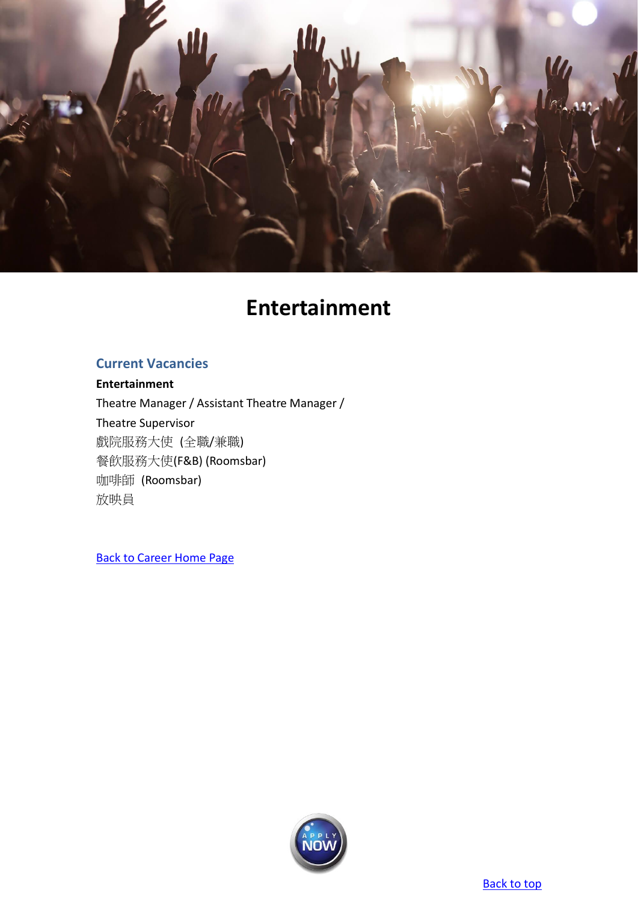<span id="page-0-0"></span>

# **Entertainment**

# <span id="page-0-1"></span>**Current Vacancies**

**[Entertainment](#page-0-1)** [Theatre Manager / Assistant Theatre Manager /](#page-1-0) [Theatre Supervisor](#page-1-1) [戲院服務大使](#page-2-0) (全職/兼職) 餐飲服務大使[\(F&B\) \(Roomsbar\)](#page-3-0) 咖啡師 [\(Roomsbar\)](#page-4-0) [放映員](#page-5-0)

[Back to Career Home Page](http://www.emperorgroup.com/en/work-with-us/)

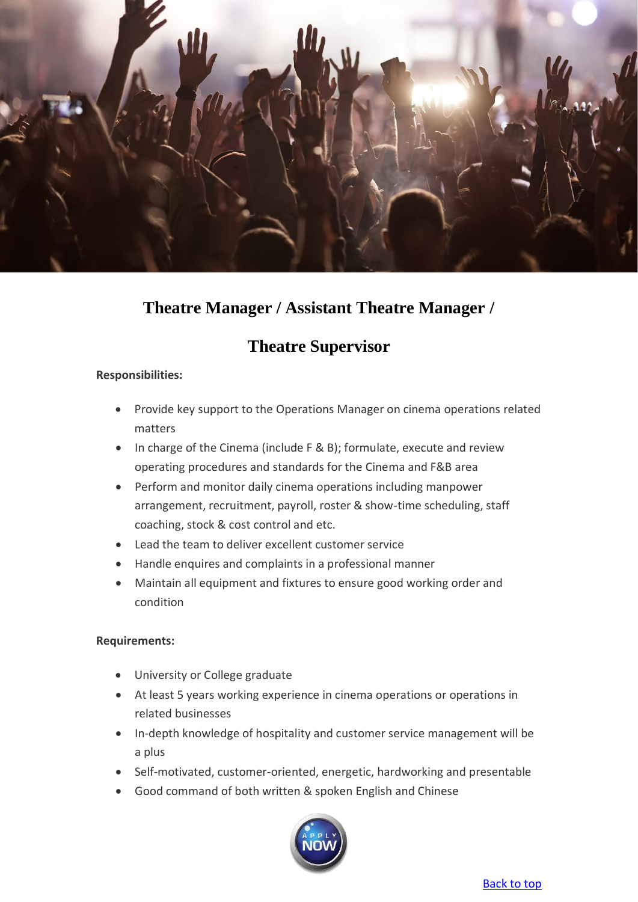

# <span id="page-1-0"></span>**Theatre Manager / Assistant Theatre Manager /**

# **Theatre Supervisor**

# <span id="page-1-1"></span>**Responsibilities:**

- Provide key support to the Operations Manager on cinema operations related matters
- In charge of the Cinema (include F & B); formulate, execute and review operating procedures and standards for the Cinema and F&B area
- Perform and monitor daily cinema operations including manpower arrangement, recruitment, payroll, roster & show-time scheduling, staff coaching, stock & cost control and etc.
- Lead the team to deliver excellent customer service
- Handle enquires and complaints in a professional manner
- Maintain all equipment and fixtures to ensure good working order and condition

# **Requirements:**

- University or College graduate
- At least 5 years working experience in cinema operations or operations in related businesses
- In-depth knowledge of hospitality and customer service management will be a plus
- Self-motivated, customer-oriented, energetic, hardworking and presentable
- Good command of both written & spoken English and Chinese

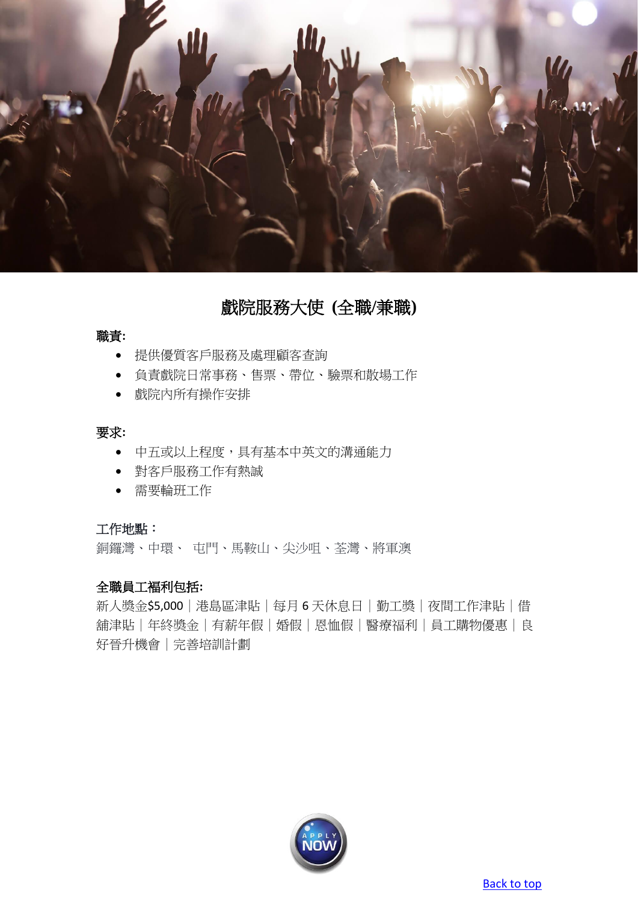

戲院服務大使 **(**全職**/**兼職**)**

### <span id="page-2-0"></span>職責**:**

- 提供優質客戶服務及處理顧客查詢
- 負責戲院日常事務、售票、帶位、驗票和散場工作
- 戲院內所有操作安排

### 要求**:**

- 中五或以上程度,具有基本中英文的溝通能力
- 對客戶服務工作有熱誠
- 需要輪班工作

### 工作地點:

銅鑼灣、中環、 屯門、馬鞍山、尖沙咀、荃灣、將軍澳

# 全職員工褔利包括**:**

新人獎金\$5,000 | 港島區津貼 | 每月 6 天休息日 | 勤工獎 | 夜間工作津貼 | 借 舖津貼|年終獎金|有薪年假|婚假|恩恤假|醫療福利|員工購物優惠|良 好晉升機會|完善培訓計劃

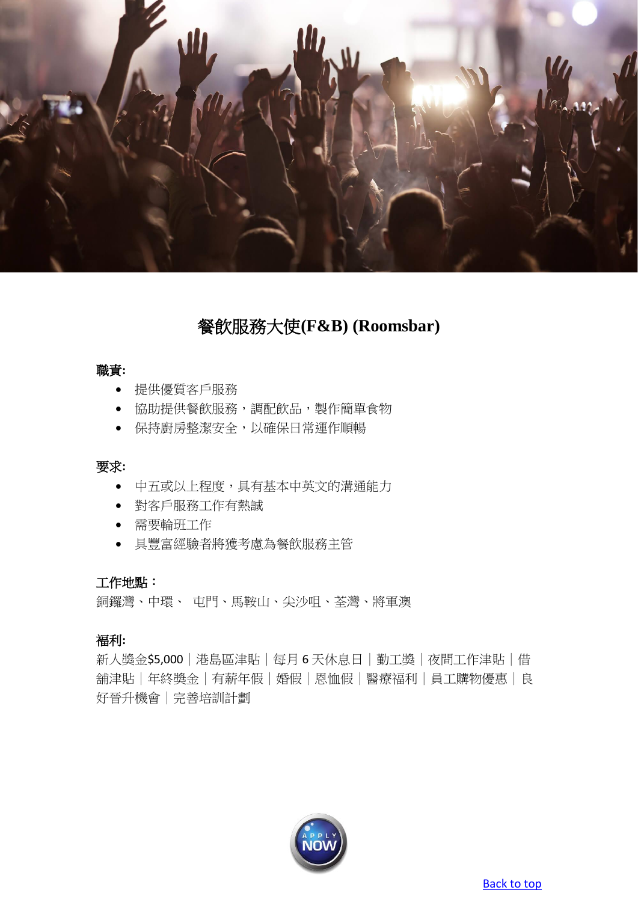

# 餐飲服務大使**(F&B) (Roomsbar)**

# <span id="page-3-0"></span>職責**:**

- 提供優質客戶服務
- 協助提供餐飲服務,調配飲品,製作簡單食物
- 保持廚房整潔安全,以確保日常運作順暢

#### 要求**:**

- 中五或以上程度,具有基本中英文的溝通能力
- 對客戶服務工作有熱誠
- 需要輪班工作
- 具豐富經驗者將獲考慮為餐飲服務主管

# 工作地點:

銅鑼灣、中環、 屯門、馬鞍山、尖沙咀、荃灣、將軍澳

# 褔利**:**

新人獎金\$5,000|港島區津貼|每月 6 天休息日|勤工獎|夜間工作津貼|借 舖津貼|年終獎金|有薪年假|婚假|恩恤假|醫療福利|員工購物優惠|良 好晉升機會|完善培訓計劃

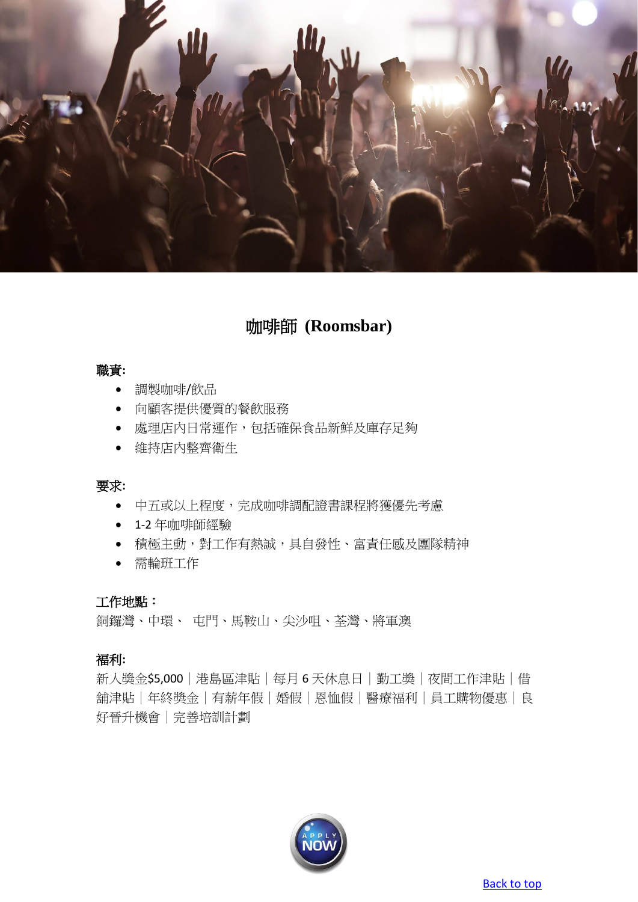

# 咖啡師 **(Roomsbar)**

#### <span id="page-4-0"></span>職責**:**

- 調製咖啡/飲品
- 向顧客提供優質的餐飲服務
- 處理店內日常運作,包括確保食品新鮮及庫存足夠
- 維持店內整齊衛生

#### 要求**:**

- 中五或以上程度,完成咖啡調配證書課程將獲優先考慮
- 1-2 年咖啡師經驗
- 積極主動,對工作有熱誠,具自發性、富責任感及團隊精神
- 需輪班工作

### 工作地點:

銅鑼灣、中環、 屯門、馬鞍山、尖沙咀、荃灣、將軍澳

### 褔利**:**

新人獎金\$5,000 | 港島區津貼 | 每月 6 天休息日 | 勤工獎 | 夜間工作津貼 | 借 舖津貼|年終獎金|有薪年假|婚假|恩恤假|醫療福利|員工購物優惠|良 好晉升機會|完善培訓計劃